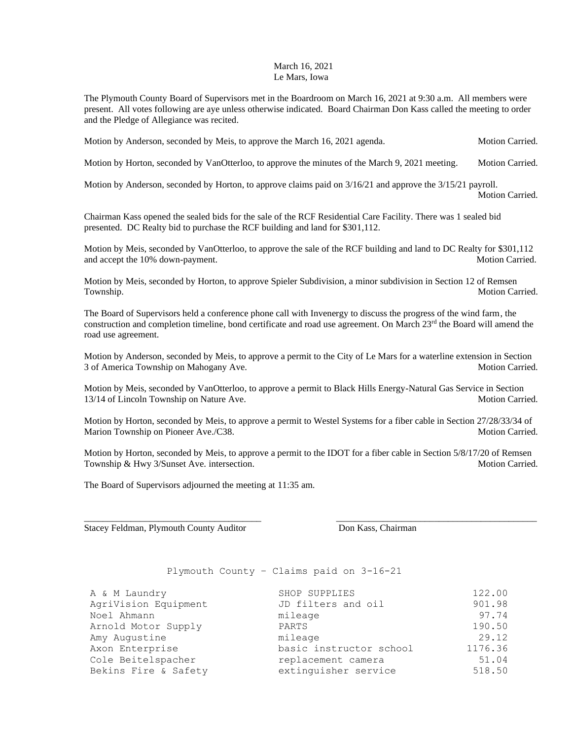## March 16, 2021 Le Mars, Iowa

The Plymouth County Board of Supervisors met in the Boardroom on March 16, 2021 at 9:30 a.m. All members were present. All votes following are aye unless otherwise indicated. Board Chairman Don Kass called the meeting to order and the Pledge of Allegiance was recited.

Motion by Anderson, seconded by Meis, to approve the March 16, 2021 agenda. Motion Carried.

Motion by Horton, seconded by VanOtterloo, to approve the minutes of the March 9, 2021 meeting. Motion Carried.

Motion by Anderson, seconded by Horton, to approve claims paid on 3/16/21 and approve the 3/15/21 payroll. Motion Carried.

Chairman Kass opened the sealed bids for the sale of the RCF Residential Care Facility. There was 1 sealed bid presented. DC Realty bid to purchase the RCF building and land for \$301,112.

Motion by Meis, seconded by VanOtterloo, to approve the sale of the RCF building and land to DC Realty for \$301,112 and accept the 10% down-payment. Motion Carried. Motion Carried.

Motion by Meis, seconded by Horton, to approve Spieler Subdivision, a minor subdivision in Section 12 of Remsen Township. Motion Carried.

The Board of Supervisors held a conference phone call with Invenergy to discuss the progress of the wind farm, the construction and completion timeline, bond certificate and road use agreement. On March 23<sup>rd</sup> the Board will amend the road use agreement.

Motion by Anderson, seconded by Meis, to approve a permit to the City of Le Mars for a waterline extension in Section 3 of America Township on Mahogany Ave. The same of the state of the Motion Carried.

Motion by Meis, seconded by VanOtterloo, to approve a permit to Black Hills Energy-Natural Gas Service in Section 13/14 of Lincoln Township on Nature Ave. Motion Carried. Motion Carried.

Motion by Horton, seconded by Meis, to approve a permit to Westel Systems for a fiber cable in Section 27/28/33/34 of Marion Township on Pioneer Ave./C38. Motion Carried. Motion Carried.

Motion by Horton, seconded by Meis, to approve a permit to the IDOT for a fiber cable in Section 5/8/17/20 of Remsen Township & Hwy 3/Sunset Ave. intersection. Motion Carried. Motion Carried.

\_\_\_\_\_\_\_\_\_\_\_\_\_\_\_\_\_\_\_\_\_\_\_\_\_\_\_\_\_\_\_\_\_\_\_\_\_\_ \_\_\_\_\_\_\_\_\_\_\_\_\_\_\_\_\_\_\_\_\_\_\_\_\_\_\_\_\_\_\_\_\_\_\_\_\_\_\_\_\_\_\_

The Board of Supervisors adjourned the meeting at 11:35 am.

Stacey Feldman, Plymouth County Auditor **Don Kass, Chairman** 

Plymouth County – Claims paid on 3-16-21

| A & M Laundry        | SHOP SUPPLIES           | 122.00  |
|----------------------|-------------------------|---------|
| AgriVision Equipment | JD filters and oil      | 901.98  |
| Noel Ahmann          | mileage                 | 97.74   |
| Arnold Motor Supply  | PARTS                   | 190.50  |
| Amy Augustine        | mileage                 | 29.12   |
| Axon Enterprise      | basic instructor school | 1176.36 |
| Cole Beitelspacher   | replacement camera      | 51.04   |
| Bekins Fire & Safety | extinguisher service    | 518.50  |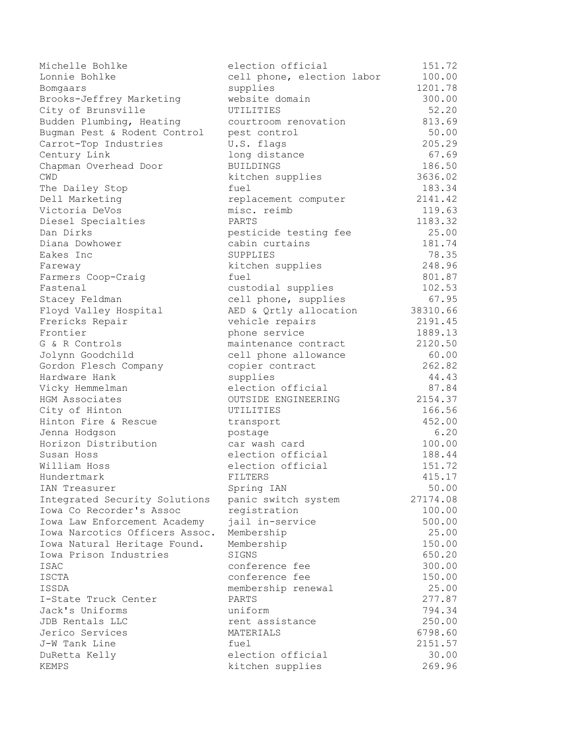| Michelle Bohlke                | election official          | 151.72   |
|--------------------------------|----------------------------|----------|
| Lonnie Bohlke                  | cell phone, election labor | 100.00   |
| Bomgaars                       | supplies                   | 1201.78  |
| Brooks-Jeffrey Marketing       | website domain             | 300.00   |
| City of Brunsville             | UTILITIES                  | 52.20    |
| Budden Plumbing, Heating       | courtroom renovation       | 813.69   |
| Bugman Pest & Rodent Control   | pest control               | 50.00    |
| Carrot-Top Industries          | U.S. flags                 | 205.29   |
| Century Link                   | long distance              | 67.69    |
| Chapman Overhead Door          | <b>BUILDINGS</b>           | 186.50   |
| CWD                            | kitchen supplies           | 3636.02  |
| The Dailey Stop                | fuel                       | 183.34   |
| Dell Marketing                 | replacement computer       | 2141.42  |
| Victoria DeVos                 | misc. reimb                | 119.63   |
| Diesel Specialties             | PARTS                      | 1183.32  |
| Dan Dirks                      | pesticide testing fee      | 25.00    |
| Diana Dowhower                 | cabin curtains             | 181.74   |
| Eakes Inc                      | SUPPLIES                   | 78.35    |
| Fareway                        | kitchen supplies           | 248.96   |
| Farmers Coop-Craig             | fuel                       | 801.87   |
| Fastenal                       | custodial supplies         | 102.53   |
| Stacey Feldman                 | cell phone, supplies       | 67.95    |
| Floyd Valley Hospital          | AED & Qrtly allocation     | 38310.66 |
| Frericks Repair                | vehicle repairs            | 2191.45  |
| Frontier                       | phone service              | 1889.13  |
| G & R Controls                 | maintenance contract       | 2120.50  |
| Jolynn Goodchild               | cell phone allowance       | 60.00    |
| Gordon Flesch Company          | copier contract            | 262.82   |
| Hardware Hank                  | supplies                   | 44.43    |
| Vicky Hemmelman                | election official          | 87.84    |
| HGM Associates                 | OUTSIDE ENGINEERING        | 2154.37  |
| City of Hinton                 | UTILITIES                  | 166.56   |
| Hinton Fire & Rescue           | transport                  | 452.00   |
| Jenna Hodgson                  | postage                    | 6.20     |
| Horizon Distribution           | car wash card              | 100.00   |
| Susan Hoss                     | election official          | 188.44   |
| William Hoss                   | election official          | 151.72   |
| Hundertmark                    | FILTERS                    | 415.17   |
| IAN Treasurer                  | Spring IAN                 | 50.00    |
| Integrated Security Solutions  | panic switch system        | 27174.08 |
| Iowa Co Recorder's Assoc       | registration               | 100.00   |
| Iowa Law Enforcement Academy   | jail in-service            | 500.00   |
| Iowa Narcotics Officers Assoc. | Membership                 | 25.00    |
| Iowa Natural Heritage Found.   | Membership                 | 150.00   |
| Iowa Prison Industries         | SIGNS                      | 650.20   |
| ISAC                           | conference fee             | 300.00   |
| ISCTA                          | conference fee             | 150.00   |
| ISSDA                          | membership renewal         | 25.00    |
| I-State Truck Center           | PARTS                      | 277.87   |
| Jack's Uniforms                | uniform                    | 794.34   |
| JDB Rentals LLC                | rent assistance            | 250.00   |
| Jerico Services                | MATERIALS                  | 6798.60  |
| J-W Tank Line                  | fuel                       | 2151.57  |
| DuRetta Kelly                  | election official          | 30.00    |
| KEMPS                          | kitchen supplies           | 269.96   |
|                                |                            |          |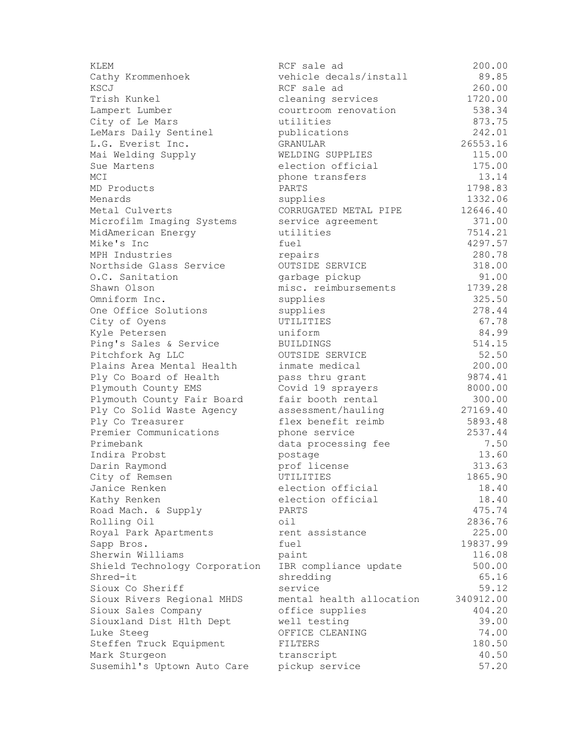| vehicle decals/install<br>89.85<br>Cathy Krommenhoek<br>260.00<br>RCF sale ad<br>Trish Kunkel<br>1720.00<br>cleaning services<br>538.34<br>courtroom renovation<br>City of Le Mars<br>utilities<br>873.75<br>242.01<br>LeMars Daily Sentinel<br>publications<br>L.G. Everist Inc.<br>GRANULAR<br>26553.16<br>115.00<br>WELDING SUPPLIES<br>Mai Welding Supply<br>175.00<br>election official<br>Sue Martens<br>13.14<br>MCI<br>phone transfers<br>1798.83<br>PARTS<br>MD Products<br>1332.06<br>supplies<br>12646.40<br>Metal Culverts<br>CORRUGATED METAL PIPE<br>371.00<br>Microfilm Imaging Systems<br>service agreement<br>utilities<br>7514.21<br>MidAmerican Energy<br>4297.57<br>Mike's Inc<br>fuel<br>280.78<br>MPH Industries<br>repairs<br>318.00<br>Northside Glass Service<br>OUTSIDE SERVICE<br>O.C. Sanitation<br>91.00<br>garbage pickup<br>1739.28<br>misc. reimbursements<br>Shawn Olson<br>325.50<br>Omniform Inc.<br>supplies<br>278.44<br>One Office Solutions<br>supplies<br>67.78<br>UTILITIES<br>City of Oyens<br>84.99<br>Kyle Petersen<br>uniform<br>514.15<br>Ping's Sales & Service<br><b>BUILDINGS</b><br>52.50<br>Pitchfork Ag LLC<br>OUTSIDE SERVICE<br>200.00<br>Plains Area Mental Health<br>inmate medical<br>9874.41<br>Ply Co Board of Health<br>pass thru grant<br>Covid 19 sprayers<br>8000.00<br>Plymouth County EMS<br>Plymouth County Fair Board<br>fair booth rental<br>300.00<br>Ply Co Solid Waste Agency<br>assessment/hauling<br>27169.40<br>Ply Co Treasurer<br>flex benefit reimb<br>5893.48<br>Premier Communications<br>2537.44<br>phone service<br>Primebank<br>7.50<br>data processing fee<br>13.60<br>Indira Probst<br>postage<br>313.63<br>Darin Raymond<br>prof license<br>1865.90<br>City of Remsen<br>UTILITIES<br>Janice Renken<br>election official<br>18.40<br>18.40<br>Kathy Renken<br>election official<br>475.74<br>Road Mach. & Supply<br>PARTS<br>Rolling Oil<br>2836.76<br>oil<br>225.00<br>Royal Park Apartments<br>rent assistance<br>Sapp Bros.<br>fuel<br>19837.99<br>Sherwin Williams<br>116.08<br>paint<br>Shield Technology Corporation<br>IBR compliance update<br>500.00<br>Shred-it<br>shredding<br>65.16<br>Sioux Co Sheriff<br>service<br>59.12<br>Sioux Rivers Regional MHDS<br>mental health allocation<br>340912.00<br>Sioux Sales Company<br>office supplies<br>404.20<br>39.00<br>Siouxland Dist Hlth Dept<br>well testing<br>74.00<br>OFFICE CLEANING<br>Luke Steeg<br>180.50<br>Steffen Truck Equipment<br>FILTERS<br>Mark Sturgeon<br>40.50<br>transcript<br>Susemihl's Uptown Auto Care<br>57.20<br>pickup service | KLEM           | RCF sale ad | 200.00 |
|----------------------------------------------------------------------------------------------------------------------------------------------------------------------------------------------------------------------------------------------------------------------------------------------------------------------------------------------------------------------------------------------------------------------------------------------------------------------------------------------------------------------------------------------------------------------------------------------------------------------------------------------------------------------------------------------------------------------------------------------------------------------------------------------------------------------------------------------------------------------------------------------------------------------------------------------------------------------------------------------------------------------------------------------------------------------------------------------------------------------------------------------------------------------------------------------------------------------------------------------------------------------------------------------------------------------------------------------------------------------------------------------------------------------------------------------------------------------------------------------------------------------------------------------------------------------------------------------------------------------------------------------------------------------------------------------------------------------------------------------------------------------------------------------------------------------------------------------------------------------------------------------------------------------------------------------------------------------------------------------------------------------------------------------------------------------------------------------------------------------------------------------------------------------------------------------------------------------------------------------------------------------------------------------------------------------------------------------------------------------------------------------------------------------------------------------------------------------------------------------------------------------------------------------------------------------------------------------------------|----------------|-------------|--------|
|                                                                                                                                                                                                                                                                                                                                                                                                                                                                                                                                                                                                                                                                                                                                                                                                                                                                                                                                                                                                                                                                                                                                                                                                                                                                                                                                                                                                                                                                                                                                                                                                                                                                                                                                                                                                                                                                                                                                                                                                                                                                                                                                                                                                                                                                                                                                                                                                                                                                                                                                                                                                          |                |             |        |
|                                                                                                                                                                                                                                                                                                                                                                                                                                                                                                                                                                                                                                                                                                                                                                                                                                                                                                                                                                                                                                                                                                                                                                                                                                                                                                                                                                                                                                                                                                                                                                                                                                                                                                                                                                                                                                                                                                                                                                                                                                                                                                                                                                                                                                                                                                                                                                                                                                                                                                                                                                                                          | KSCJ           |             |        |
|                                                                                                                                                                                                                                                                                                                                                                                                                                                                                                                                                                                                                                                                                                                                                                                                                                                                                                                                                                                                                                                                                                                                                                                                                                                                                                                                                                                                                                                                                                                                                                                                                                                                                                                                                                                                                                                                                                                                                                                                                                                                                                                                                                                                                                                                                                                                                                                                                                                                                                                                                                                                          |                |             |        |
|                                                                                                                                                                                                                                                                                                                                                                                                                                                                                                                                                                                                                                                                                                                                                                                                                                                                                                                                                                                                                                                                                                                                                                                                                                                                                                                                                                                                                                                                                                                                                                                                                                                                                                                                                                                                                                                                                                                                                                                                                                                                                                                                                                                                                                                                                                                                                                                                                                                                                                                                                                                                          | Lampert Lumber |             |        |
|                                                                                                                                                                                                                                                                                                                                                                                                                                                                                                                                                                                                                                                                                                                                                                                                                                                                                                                                                                                                                                                                                                                                                                                                                                                                                                                                                                                                                                                                                                                                                                                                                                                                                                                                                                                                                                                                                                                                                                                                                                                                                                                                                                                                                                                                                                                                                                                                                                                                                                                                                                                                          |                |             |        |
|                                                                                                                                                                                                                                                                                                                                                                                                                                                                                                                                                                                                                                                                                                                                                                                                                                                                                                                                                                                                                                                                                                                                                                                                                                                                                                                                                                                                                                                                                                                                                                                                                                                                                                                                                                                                                                                                                                                                                                                                                                                                                                                                                                                                                                                                                                                                                                                                                                                                                                                                                                                                          |                |             |        |
|                                                                                                                                                                                                                                                                                                                                                                                                                                                                                                                                                                                                                                                                                                                                                                                                                                                                                                                                                                                                                                                                                                                                                                                                                                                                                                                                                                                                                                                                                                                                                                                                                                                                                                                                                                                                                                                                                                                                                                                                                                                                                                                                                                                                                                                                                                                                                                                                                                                                                                                                                                                                          |                |             |        |
|                                                                                                                                                                                                                                                                                                                                                                                                                                                                                                                                                                                                                                                                                                                                                                                                                                                                                                                                                                                                                                                                                                                                                                                                                                                                                                                                                                                                                                                                                                                                                                                                                                                                                                                                                                                                                                                                                                                                                                                                                                                                                                                                                                                                                                                                                                                                                                                                                                                                                                                                                                                                          |                |             |        |
|                                                                                                                                                                                                                                                                                                                                                                                                                                                                                                                                                                                                                                                                                                                                                                                                                                                                                                                                                                                                                                                                                                                                                                                                                                                                                                                                                                                                                                                                                                                                                                                                                                                                                                                                                                                                                                                                                                                                                                                                                                                                                                                                                                                                                                                                                                                                                                                                                                                                                                                                                                                                          |                |             |        |
|                                                                                                                                                                                                                                                                                                                                                                                                                                                                                                                                                                                                                                                                                                                                                                                                                                                                                                                                                                                                                                                                                                                                                                                                                                                                                                                                                                                                                                                                                                                                                                                                                                                                                                                                                                                                                                                                                                                                                                                                                                                                                                                                                                                                                                                                                                                                                                                                                                                                                                                                                                                                          |                |             |        |
|                                                                                                                                                                                                                                                                                                                                                                                                                                                                                                                                                                                                                                                                                                                                                                                                                                                                                                                                                                                                                                                                                                                                                                                                                                                                                                                                                                                                                                                                                                                                                                                                                                                                                                                                                                                                                                                                                                                                                                                                                                                                                                                                                                                                                                                                                                                                                                                                                                                                                                                                                                                                          |                |             |        |
|                                                                                                                                                                                                                                                                                                                                                                                                                                                                                                                                                                                                                                                                                                                                                                                                                                                                                                                                                                                                                                                                                                                                                                                                                                                                                                                                                                                                                                                                                                                                                                                                                                                                                                                                                                                                                                                                                                                                                                                                                                                                                                                                                                                                                                                                                                                                                                                                                                                                                                                                                                                                          | Menards        |             |        |
|                                                                                                                                                                                                                                                                                                                                                                                                                                                                                                                                                                                                                                                                                                                                                                                                                                                                                                                                                                                                                                                                                                                                                                                                                                                                                                                                                                                                                                                                                                                                                                                                                                                                                                                                                                                                                                                                                                                                                                                                                                                                                                                                                                                                                                                                                                                                                                                                                                                                                                                                                                                                          |                |             |        |
|                                                                                                                                                                                                                                                                                                                                                                                                                                                                                                                                                                                                                                                                                                                                                                                                                                                                                                                                                                                                                                                                                                                                                                                                                                                                                                                                                                                                                                                                                                                                                                                                                                                                                                                                                                                                                                                                                                                                                                                                                                                                                                                                                                                                                                                                                                                                                                                                                                                                                                                                                                                                          |                |             |        |
|                                                                                                                                                                                                                                                                                                                                                                                                                                                                                                                                                                                                                                                                                                                                                                                                                                                                                                                                                                                                                                                                                                                                                                                                                                                                                                                                                                                                                                                                                                                                                                                                                                                                                                                                                                                                                                                                                                                                                                                                                                                                                                                                                                                                                                                                                                                                                                                                                                                                                                                                                                                                          |                |             |        |
|                                                                                                                                                                                                                                                                                                                                                                                                                                                                                                                                                                                                                                                                                                                                                                                                                                                                                                                                                                                                                                                                                                                                                                                                                                                                                                                                                                                                                                                                                                                                                                                                                                                                                                                                                                                                                                                                                                                                                                                                                                                                                                                                                                                                                                                                                                                                                                                                                                                                                                                                                                                                          |                |             |        |
|                                                                                                                                                                                                                                                                                                                                                                                                                                                                                                                                                                                                                                                                                                                                                                                                                                                                                                                                                                                                                                                                                                                                                                                                                                                                                                                                                                                                                                                                                                                                                                                                                                                                                                                                                                                                                                                                                                                                                                                                                                                                                                                                                                                                                                                                                                                                                                                                                                                                                                                                                                                                          |                |             |        |
|                                                                                                                                                                                                                                                                                                                                                                                                                                                                                                                                                                                                                                                                                                                                                                                                                                                                                                                                                                                                                                                                                                                                                                                                                                                                                                                                                                                                                                                                                                                                                                                                                                                                                                                                                                                                                                                                                                                                                                                                                                                                                                                                                                                                                                                                                                                                                                                                                                                                                                                                                                                                          |                |             |        |
|                                                                                                                                                                                                                                                                                                                                                                                                                                                                                                                                                                                                                                                                                                                                                                                                                                                                                                                                                                                                                                                                                                                                                                                                                                                                                                                                                                                                                                                                                                                                                                                                                                                                                                                                                                                                                                                                                                                                                                                                                                                                                                                                                                                                                                                                                                                                                                                                                                                                                                                                                                                                          |                |             |        |
|                                                                                                                                                                                                                                                                                                                                                                                                                                                                                                                                                                                                                                                                                                                                                                                                                                                                                                                                                                                                                                                                                                                                                                                                                                                                                                                                                                                                                                                                                                                                                                                                                                                                                                                                                                                                                                                                                                                                                                                                                                                                                                                                                                                                                                                                                                                                                                                                                                                                                                                                                                                                          |                |             |        |
|                                                                                                                                                                                                                                                                                                                                                                                                                                                                                                                                                                                                                                                                                                                                                                                                                                                                                                                                                                                                                                                                                                                                                                                                                                                                                                                                                                                                                                                                                                                                                                                                                                                                                                                                                                                                                                                                                                                                                                                                                                                                                                                                                                                                                                                                                                                                                                                                                                                                                                                                                                                                          |                |             |        |
|                                                                                                                                                                                                                                                                                                                                                                                                                                                                                                                                                                                                                                                                                                                                                                                                                                                                                                                                                                                                                                                                                                                                                                                                                                                                                                                                                                                                                                                                                                                                                                                                                                                                                                                                                                                                                                                                                                                                                                                                                                                                                                                                                                                                                                                                                                                                                                                                                                                                                                                                                                                                          |                |             |        |
|                                                                                                                                                                                                                                                                                                                                                                                                                                                                                                                                                                                                                                                                                                                                                                                                                                                                                                                                                                                                                                                                                                                                                                                                                                                                                                                                                                                                                                                                                                                                                                                                                                                                                                                                                                                                                                                                                                                                                                                                                                                                                                                                                                                                                                                                                                                                                                                                                                                                                                                                                                                                          |                |             |        |
|                                                                                                                                                                                                                                                                                                                                                                                                                                                                                                                                                                                                                                                                                                                                                                                                                                                                                                                                                                                                                                                                                                                                                                                                                                                                                                                                                                                                                                                                                                                                                                                                                                                                                                                                                                                                                                                                                                                                                                                                                                                                                                                                                                                                                                                                                                                                                                                                                                                                                                                                                                                                          |                |             |        |
|                                                                                                                                                                                                                                                                                                                                                                                                                                                                                                                                                                                                                                                                                                                                                                                                                                                                                                                                                                                                                                                                                                                                                                                                                                                                                                                                                                                                                                                                                                                                                                                                                                                                                                                                                                                                                                                                                                                                                                                                                                                                                                                                                                                                                                                                                                                                                                                                                                                                                                                                                                                                          |                |             |        |
|                                                                                                                                                                                                                                                                                                                                                                                                                                                                                                                                                                                                                                                                                                                                                                                                                                                                                                                                                                                                                                                                                                                                                                                                                                                                                                                                                                                                                                                                                                                                                                                                                                                                                                                                                                                                                                                                                                                                                                                                                                                                                                                                                                                                                                                                                                                                                                                                                                                                                                                                                                                                          |                |             |        |
|                                                                                                                                                                                                                                                                                                                                                                                                                                                                                                                                                                                                                                                                                                                                                                                                                                                                                                                                                                                                                                                                                                                                                                                                                                                                                                                                                                                                                                                                                                                                                                                                                                                                                                                                                                                                                                                                                                                                                                                                                                                                                                                                                                                                                                                                                                                                                                                                                                                                                                                                                                                                          |                |             |        |
|                                                                                                                                                                                                                                                                                                                                                                                                                                                                                                                                                                                                                                                                                                                                                                                                                                                                                                                                                                                                                                                                                                                                                                                                                                                                                                                                                                                                                                                                                                                                                                                                                                                                                                                                                                                                                                                                                                                                                                                                                                                                                                                                                                                                                                                                                                                                                                                                                                                                                                                                                                                                          |                |             |        |
|                                                                                                                                                                                                                                                                                                                                                                                                                                                                                                                                                                                                                                                                                                                                                                                                                                                                                                                                                                                                                                                                                                                                                                                                                                                                                                                                                                                                                                                                                                                                                                                                                                                                                                                                                                                                                                                                                                                                                                                                                                                                                                                                                                                                                                                                                                                                                                                                                                                                                                                                                                                                          |                |             |        |
|                                                                                                                                                                                                                                                                                                                                                                                                                                                                                                                                                                                                                                                                                                                                                                                                                                                                                                                                                                                                                                                                                                                                                                                                                                                                                                                                                                                                                                                                                                                                                                                                                                                                                                                                                                                                                                                                                                                                                                                                                                                                                                                                                                                                                                                                                                                                                                                                                                                                                                                                                                                                          |                |             |        |
|                                                                                                                                                                                                                                                                                                                                                                                                                                                                                                                                                                                                                                                                                                                                                                                                                                                                                                                                                                                                                                                                                                                                                                                                                                                                                                                                                                                                                                                                                                                                                                                                                                                                                                                                                                                                                                                                                                                                                                                                                                                                                                                                                                                                                                                                                                                                                                                                                                                                                                                                                                                                          |                |             |        |
|                                                                                                                                                                                                                                                                                                                                                                                                                                                                                                                                                                                                                                                                                                                                                                                                                                                                                                                                                                                                                                                                                                                                                                                                                                                                                                                                                                                                                                                                                                                                                                                                                                                                                                                                                                                                                                                                                                                                                                                                                                                                                                                                                                                                                                                                                                                                                                                                                                                                                                                                                                                                          |                |             |        |
|                                                                                                                                                                                                                                                                                                                                                                                                                                                                                                                                                                                                                                                                                                                                                                                                                                                                                                                                                                                                                                                                                                                                                                                                                                                                                                                                                                                                                                                                                                                                                                                                                                                                                                                                                                                                                                                                                                                                                                                                                                                                                                                                                                                                                                                                                                                                                                                                                                                                                                                                                                                                          |                |             |        |
|                                                                                                                                                                                                                                                                                                                                                                                                                                                                                                                                                                                                                                                                                                                                                                                                                                                                                                                                                                                                                                                                                                                                                                                                                                                                                                                                                                                                                                                                                                                                                                                                                                                                                                                                                                                                                                                                                                                                                                                                                                                                                                                                                                                                                                                                                                                                                                                                                                                                                                                                                                                                          |                |             |        |
|                                                                                                                                                                                                                                                                                                                                                                                                                                                                                                                                                                                                                                                                                                                                                                                                                                                                                                                                                                                                                                                                                                                                                                                                                                                                                                                                                                                                                                                                                                                                                                                                                                                                                                                                                                                                                                                                                                                                                                                                                                                                                                                                                                                                                                                                                                                                                                                                                                                                                                                                                                                                          |                |             |        |
|                                                                                                                                                                                                                                                                                                                                                                                                                                                                                                                                                                                                                                                                                                                                                                                                                                                                                                                                                                                                                                                                                                                                                                                                                                                                                                                                                                                                                                                                                                                                                                                                                                                                                                                                                                                                                                                                                                                                                                                                                                                                                                                                                                                                                                                                                                                                                                                                                                                                                                                                                                                                          |                |             |        |
|                                                                                                                                                                                                                                                                                                                                                                                                                                                                                                                                                                                                                                                                                                                                                                                                                                                                                                                                                                                                                                                                                                                                                                                                                                                                                                                                                                                                                                                                                                                                                                                                                                                                                                                                                                                                                                                                                                                                                                                                                                                                                                                                                                                                                                                                                                                                                                                                                                                                                                                                                                                                          |                |             |        |
|                                                                                                                                                                                                                                                                                                                                                                                                                                                                                                                                                                                                                                                                                                                                                                                                                                                                                                                                                                                                                                                                                                                                                                                                                                                                                                                                                                                                                                                                                                                                                                                                                                                                                                                                                                                                                                                                                                                                                                                                                                                                                                                                                                                                                                                                                                                                                                                                                                                                                                                                                                                                          |                |             |        |
|                                                                                                                                                                                                                                                                                                                                                                                                                                                                                                                                                                                                                                                                                                                                                                                                                                                                                                                                                                                                                                                                                                                                                                                                                                                                                                                                                                                                                                                                                                                                                                                                                                                                                                                                                                                                                                                                                                                                                                                                                                                                                                                                                                                                                                                                                                                                                                                                                                                                                                                                                                                                          |                |             |        |
|                                                                                                                                                                                                                                                                                                                                                                                                                                                                                                                                                                                                                                                                                                                                                                                                                                                                                                                                                                                                                                                                                                                                                                                                                                                                                                                                                                                                                                                                                                                                                                                                                                                                                                                                                                                                                                                                                                                                                                                                                                                                                                                                                                                                                                                                                                                                                                                                                                                                                                                                                                                                          |                |             |        |
|                                                                                                                                                                                                                                                                                                                                                                                                                                                                                                                                                                                                                                                                                                                                                                                                                                                                                                                                                                                                                                                                                                                                                                                                                                                                                                                                                                                                                                                                                                                                                                                                                                                                                                                                                                                                                                                                                                                                                                                                                                                                                                                                                                                                                                                                                                                                                                                                                                                                                                                                                                                                          |                |             |        |
|                                                                                                                                                                                                                                                                                                                                                                                                                                                                                                                                                                                                                                                                                                                                                                                                                                                                                                                                                                                                                                                                                                                                                                                                                                                                                                                                                                                                                                                                                                                                                                                                                                                                                                                                                                                                                                                                                                                                                                                                                                                                                                                                                                                                                                                                                                                                                                                                                                                                                                                                                                                                          |                |             |        |
|                                                                                                                                                                                                                                                                                                                                                                                                                                                                                                                                                                                                                                                                                                                                                                                                                                                                                                                                                                                                                                                                                                                                                                                                                                                                                                                                                                                                                                                                                                                                                                                                                                                                                                                                                                                                                                                                                                                                                                                                                                                                                                                                                                                                                                                                                                                                                                                                                                                                                                                                                                                                          |                |             |        |
|                                                                                                                                                                                                                                                                                                                                                                                                                                                                                                                                                                                                                                                                                                                                                                                                                                                                                                                                                                                                                                                                                                                                                                                                                                                                                                                                                                                                                                                                                                                                                                                                                                                                                                                                                                                                                                                                                                                                                                                                                                                                                                                                                                                                                                                                                                                                                                                                                                                                                                                                                                                                          |                |             |        |
|                                                                                                                                                                                                                                                                                                                                                                                                                                                                                                                                                                                                                                                                                                                                                                                                                                                                                                                                                                                                                                                                                                                                                                                                                                                                                                                                                                                                                                                                                                                                                                                                                                                                                                                                                                                                                                                                                                                                                                                                                                                                                                                                                                                                                                                                                                                                                                                                                                                                                                                                                                                                          |                |             |        |
|                                                                                                                                                                                                                                                                                                                                                                                                                                                                                                                                                                                                                                                                                                                                                                                                                                                                                                                                                                                                                                                                                                                                                                                                                                                                                                                                                                                                                                                                                                                                                                                                                                                                                                                                                                                                                                                                                                                                                                                                                                                                                                                                                                                                                                                                                                                                                                                                                                                                                                                                                                                                          |                |             |        |
|                                                                                                                                                                                                                                                                                                                                                                                                                                                                                                                                                                                                                                                                                                                                                                                                                                                                                                                                                                                                                                                                                                                                                                                                                                                                                                                                                                                                                                                                                                                                                                                                                                                                                                                                                                                                                                                                                                                                                                                                                                                                                                                                                                                                                                                                                                                                                                                                                                                                                                                                                                                                          |                |             |        |
|                                                                                                                                                                                                                                                                                                                                                                                                                                                                                                                                                                                                                                                                                                                                                                                                                                                                                                                                                                                                                                                                                                                                                                                                                                                                                                                                                                                                                                                                                                                                                                                                                                                                                                                                                                                                                                                                                                                                                                                                                                                                                                                                                                                                                                                                                                                                                                                                                                                                                                                                                                                                          |                |             |        |
|                                                                                                                                                                                                                                                                                                                                                                                                                                                                                                                                                                                                                                                                                                                                                                                                                                                                                                                                                                                                                                                                                                                                                                                                                                                                                                                                                                                                                                                                                                                                                                                                                                                                                                                                                                                                                                                                                                                                                                                                                                                                                                                                                                                                                                                                                                                                                                                                                                                                                                                                                                                                          |                |             |        |
|                                                                                                                                                                                                                                                                                                                                                                                                                                                                                                                                                                                                                                                                                                                                                                                                                                                                                                                                                                                                                                                                                                                                                                                                                                                                                                                                                                                                                                                                                                                                                                                                                                                                                                                                                                                                                                                                                                                                                                                                                                                                                                                                                                                                                                                                                                                                                                                                                                                                                                                                                                                                          |                |             |        |
|                                                                                                                                                                                                                                                                                                                                                                                                                                                                                                                                                                                                                                                                                                                                                                                                                                                                                                                                                                                                                                                                                                                                                                                                                                                                                                                                                                                                                                                                                                                                                                                                                                                                                                                                                                                                                                                                                                                                                                                                                                                                                                                                                                                                                                                                                                                                                                                                                                                                                                                                                                                                          |                |             |        |
|                                                                                                                                                                                                                                                                                                                                                                                                                                                                                                                                                                                                                                                                                                                                                                                                                                                                                                                                                                                                                                                                                                                                                                                                                                                                                                                                                                                                                                                                                                                                                                                                                                                                                                                                                                                                                                                                                                                                                                                                                                                                                                                                                                                                                                                                                                                                                                                                                                                                                                                                                                                                          |                |             |        |
|                                                                                                                                                                                                                                                                                                                                                                                                                                                                                                                                                                                                                                                                                                                                                                                                                                                                                                                                                                                                                                                                                                                                                                                                                                                                                                                                                                                                                                                                                                                                                                                                                                                                                                                                                                                                                                                                                                                                                                                                                                                                                                                                                                                                                                                                                                                                                                                                                                                                                                                                                                                                          |                |             |        |
|                                                                                                                                                                                                                                                                                                                                                                                                                                                                                                                                                                                                                                                                                                                                                                                                                                                                                                                                                                                                                                                                                                                                                                                                                                                                                                                                                                                                                                                                                                                                                                                                                                                                                                                                                                                                                                                                                                                                                                                                                                                                                                                                                                                                                                                                                                                                                                                                                                                                                                                                                                                                          |                |             |        |